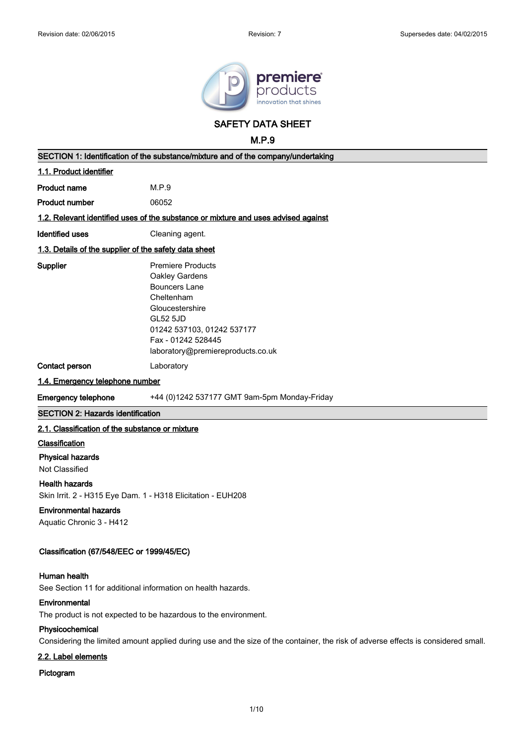

**SAFETY DATA SHEET**

**M.P.9**

| SECTION 1: Identification of the substance/mixture and of the company/undertaking                                                                    |                                                                                                                                                                                                                 |  |  |
|------------------------------------------------------------------------------------------------------------------------------------------------------|-----------------------------------------------------------------------------------------------------------------------------------------------------------------------------------------------------------------|--|--|
| 1.1. Product identifier                                                                                                                              |                                                                                                                                                                                                                 |  |  |
| <b>Product name</b>                                                                                                                                  | M.P.9                                                                                                                                                                                                           |  |  |
| <b>Product number</b>                                                                                                                                | 06052                                                                                                                                                                                                           |  |  |
|                                                                                                                                                      | 1.2. Relevant identified uses of the substance or mixture and uses advised against                                                                                                                              |  |  |
| <b>Identified uses</b>                                                                                                                               | Cleaning agent.                                                                                                                                                                                                 |  |  |
| 1.3. Details of the supplier of the safety data sheet                                                                                                |                                                                                                                                                                                                                 |  |  |
| Supplier                                                                                                                                             | <b>Premiere Products</b><br>Oakley Gardens<br><b>Bouncers Lane</b><br>Cheltenham<br>Gloucestershire<br><b>GL52 5JD</b><br>01242 537103, 01242 537177<br>Fax - 01242 528445<br>laboratory@premiereproducts.co.uk |  |  |
| Contact person                                                                                                                                       | Laboratory                                                                                                                                                                                                      |  |  |
| 1.4. Emergency telephone number                                                                                                                      |                                                                                                                                                                                                                 |  |  |
| <b>Emergency telephone</b>                                                                                                                           | +44 (0)1242 537177 GMT 9am-5pm Monday-Friday                                                                                                                                                                    |  |  |
| <b>SECTION 2: Hazards identification</b>                                                                                                             |                                                                                                                                                                                                                 |  |  |
| 2.1. Classification of the substance or mixture                                                                                                      |                                                                                                                                                                                                                 |  |  |
| Classification<br><b>Physical hazards</b><br>Not Classified                                                                                          |                                                                                                                                                                                                                 |  |  |
| <b>Health hazards</b>                                                                                                                                |                                                                                                                                                                                                                 |  |  |
| Skin Irrit. 2 - H315 Eye Dam. 1 - H318 Elicitation - EUH208                                                                                          |                                                                                                                                                                                                                 |  |  |
| <b>Environmental hazards</b>                                                                                                                         |                                                                                                                                                                                                                 |  |  |
| Aquatic Chronic 3 - H412                                                                                                                             |                                                                                                                                                                                                                 |  |  |
| Classification (67/548/EEC or 1999/45/EC)                                                                                                            |                                                                                                                                                                                                                 |  |  |
| Human health<br>See Section 11 for additional information on health hazards.                                                                         |                                                                                                                                                                                                                 |  |  |
| Environmental<br>The product is not expected to be hazardous to the environment.                                                                     |                                                                                                                                                                                                                 |  |  |
| Physicochemical<br>Considering the limited amount applied during use and the size of the container, the risk of adverse effects is considered small. |                                                                                                                                                                                                                 |  |  |
| 2.2. Label elements                                                                                                                                  |                                                                                                                                                                                                                 |  |  |
| Pictogram                                                                                                                                            |                                                                                                                                                                                                                 |  |  |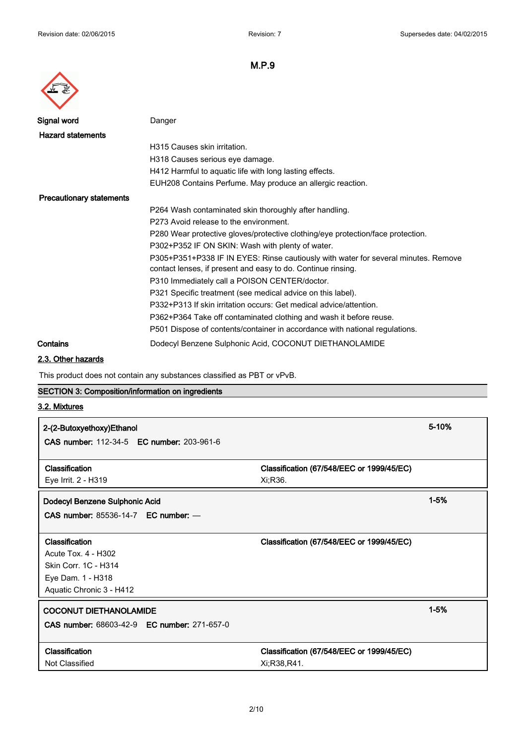

| Signal word                     | Danger                                                                             |
|---------------------------------|------------------------------------------------------------------------------------|
| <b>Hazard statements</b>        |                                                                                    |
|                                 | H315 Causes skin irritation.                                                       |
|                                 | H318 Causes serious eye damage.                                                    |
|                                 | H412 Harmful to aquatic life with long lasting effects.                            |
|                                 | EUH208 Contains Perfume. May produce an allergic reaction.                         |
| <b>Precautionary statements</b> |                                                                                    |
|                                 | P264 Wash contaminated skin thoroughly after handling.                             |
|                                 | P273 Avoid release to the environment.                                             |
|                                 | P280 Wear protective gloves/protective clothing/eye protection/face protection.    |
|                                 | P302+P352 IF ON SKIN: Wash with plenty of water.                                   |
|                                 | P305+P351+P338 IF IN EYES: Rinse cautiously with water for several minutes. Remove |
|                                 | contact lenses, if present and easy to do. Continue rinsing.                       |
|                                 | P310 Immediately call a POISON CENTER/doctor.                                      |
|                                 | P321 Specific treatment (see medical advice on this label).                        |
|                                 | P332+P313 If skin irritation occurs: Get medical advice/attention.                 |
|                                 | P362+P364 Take off contaminated clothing and wash it before reuse.                 |
|                                 | P501 Dispose of contents/container in accordance with national regulations.        |
| Contains                        | Dodecyl Benzene Sulphonic Acid, COCONUT DIETHANOLAMIDE                             |

# **2.3. Other hazards**

This product does not contain any substances classified as PBT or vPvB.

# **SECTION 3: Composition/information on ingredients**

# **3.2. Mixtures**

| 2-(2-Butoxyethoxy)Ethanol<br><b>CAS number: 112-34-5 EC number: 203-961-6</b> | 5-10%                                     |  |
|-------------------------------------------------------------------------------|-------------------------------------------|--|
| Classification                                                                | Classification (67/548/EEC or 1999/45/EC) |  |
| Eye Irrit. 2 - H319                                                           | Xi;R36.                                   |  |
| Dodecyl Benzene Sulphonic Acid                                                | $1 - 5%$                                  |  |
| CAS number: $85536-14-7$ EC number: $-$                                       |                                           |  |
|                                                                               |                                           |  |
| Classification                                                                | Classification (67/548/EEC or 1999/45/EC) |  |
| Acute Tox. 4 - H302                                                           |                                           |  |
| Skin Corr. 1C - H314                                                          |                                           |  |
| Eye Dam. 1 - H318                                                             |                                           |  |
| Aquatic Chronic 3 - H412                                                      |                                           |  |
| <b>COCONUT DIETHANOLAMIDE</b>                                                 | $1 - 5%$                                  |  |
| CAS number: 68603-42-9 EC number: 271-657-0                                   |                                           |  |
|                                                                               |                                           |  |
| Classification                                                                | Classification (67/548/EEC or 1999/45/EC) |  |
| Not Classified                                                                | Xi;R38,R41.                               |  |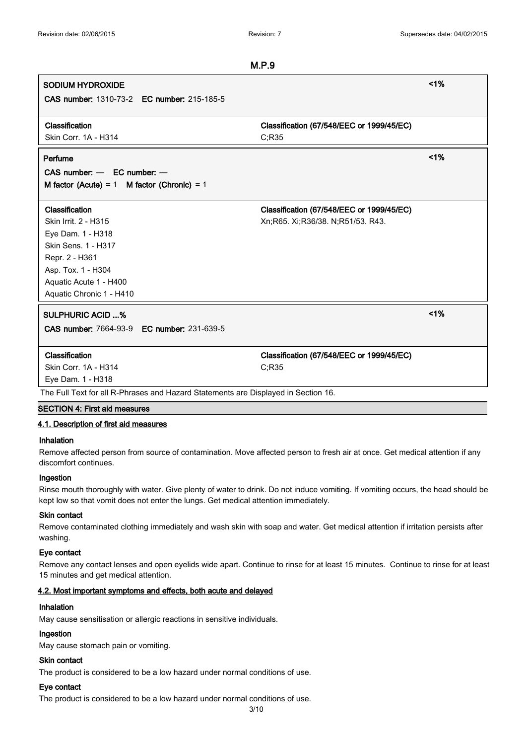# **M.P.9 SODIUM HYDROXIDE <1% CAS number:** 1310-73-2 **EC number:** 215-185-5 **Classification Classification (67/548/EEC or 1999/45/EC)** Skin Corr. 1A - H314 C;R35 **Perfume <1% CAS number:** — **EC number:** — **M factor (Acute) =** 1 **M factor (Chronic) =** 1 **Classification Classification (67/548/EEC or 1999/45/EC)** Skin Irrit. 2 - H315 Xn;R65. Xi;R36/38. N;R51/53. R43. Eye Dam. 1 - H318 Skin Sens. 1 - H317 Repr. 2 - H361 Asp. Tox. 1 - H304 Aquatic Acute 1 - H400 Aquatic Chronic 1 - H410 **SULPHURIC ACID ...% <1% CAS number:** 7664-93-9 **EC number:** 231-639-5 **Classification Classification (67/548/EEC or 1999/45/EC)** Skin Corr. 1A - H314 C;R35 Eye Dam. 1 - H318 The Full Text for all R-Phrases and Hazard Statements are Displayed in Section 16.

#### **SECTION 4: First aid measures**

#### **4.1. Description of first aid measures**

#### **Inhalation**

Remove affected person from source of contamination. Move affected person to fresh air at once. Get medical attention if any discomfort continues.

#### **Ingestion**

Rinse mouth thoroughly with water. Give plenty of water to drink. Do not induce vomiting. If vomiting occurs, the head should be kept low so that vomit does not enter the lungs. Get medical attention immediately.

#### **Skin contact**

Remove contaminated clothing immediately and wash skin with soap and water. Get medical attention if irritation persists after washing.

## **Eye contact**

Remove any contact lenses and open eyelids wide apart. Continue to rinse for at least 15 minutes. Continue to rinse for at least 15 minutes and get medical attention.

#### **4.2. Most important symptoms and effects, both acute and delayed**

#### **Inhalation**

May cause sensitisation or allergic reactions in sensitive individuals.

#### **Ingestion**

May cause stomach pain or vomiting.

#### **Skin contact**

The product is considered to be a low hazard under normal conditions of use.

#### **Eye contact**

The product is considered to be a low hazard under normal conditions of use.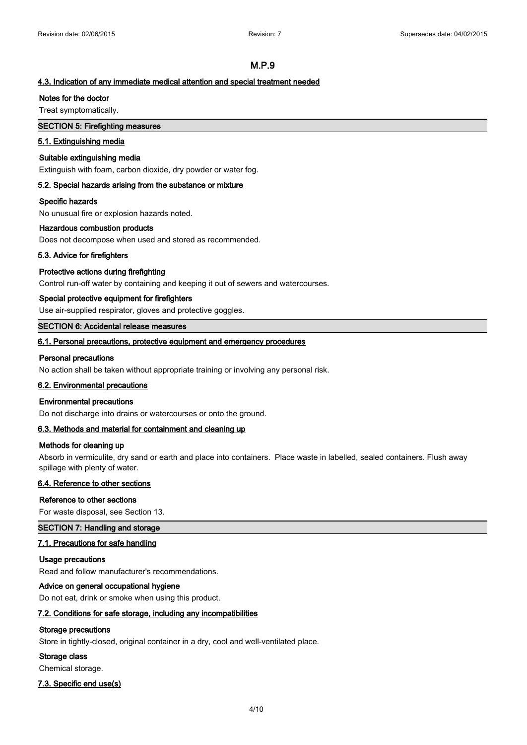## **4.3. Indication of any immediate medical attention and special treatment needed**

#### **Notes for the doctor**

Treat symptomatically.

## **SECTION 5: Firefighting measures**

#### **5.1. Extinguishing media**

#### **Suitable extinguishing media**

Extinguish with foam, carbon dioxide, dry powder or water fog.

#### **5.2. Special hazards arising from the substance or mixture**

#### **Specific hazards**

No unusual fire or explosion hazards noted.

#### **Hazardous combustion products**

Does not decompose when used and stored as recommended.

#### **5.3. Advice for firefighters**

#### **Protective actions during firefighting**

Control run-off water by containing and keeping it out of sewers and watercourses.

#### **Special protective equipment for firefighters**

Use air-supplied respirator, gloves and protective goggles.

#### **SECTION 6: Accidental release measures**

#### **6.1. Personal precautions, protective equipment and emergency procedures**

#### **Personal precautions**

No action shall be taken without appropriate training or involving any personal risk.

#### **6.2. Environmental precautions**

#### **Environmental precautions**

Do not discharge into drains or watercourses or onto the ground.

#### **6.3. Methods and material for containment and cleaning up**

## **Methods for cleaning up**

Absorb in vermiculite, dry sand or earth and place into containers. Place waste in labelled, sealed containers. Flush away spillage with plenty of water.

## **6.4. Reference to other sections**

#### **Reference to other sections**

For waste disposal, see Section 13.

#### **SECTION 7: Handling and storage**

## **7.1. Precautions for safe handling**

## **Usage precautions**

Read and follow manufacturer's recommendations.

#### **Advice on general occupational hygiene**

Do not eat, drink or smoke when using this product.

#### **7.2. Conditions for safe storage, including any incompatibilities**

#### **Storage precautions**

Store in tightly-closed, original container in a dry, cool and well-ventilated place.

#### **Storage class**

Chemical storage.

#### **7.3. Specific end use(s)**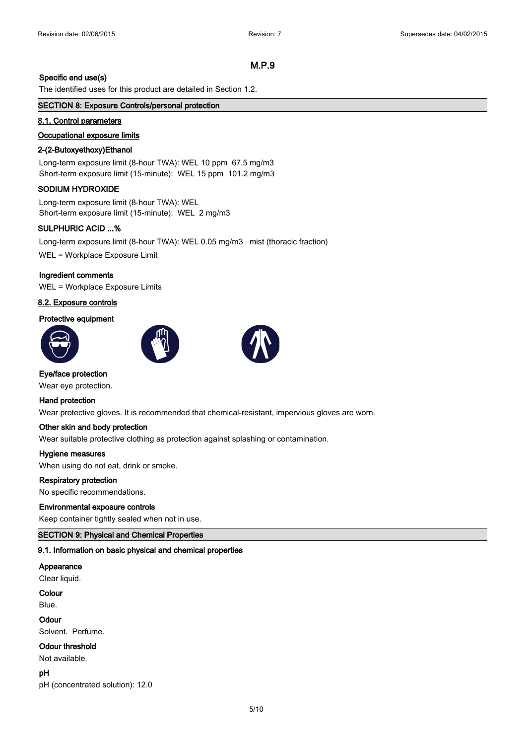### **Specific end use(s)**

The identified uses for this product are detailed in Section 1.2.

#### **SECTION 8: Exposure Controls/personal protection**

#### **8.1. Control parameters**

#### **Occupational exposure limits**

#### **2-(2-Butoxyethoxy)Ethanol**

Long-term exposure limit (8-hour TWA): WEL 10 ppm 67.5 mg/m3 Short-term exposure limit (15-minute): WEL 15 ppm 101.2 mg/m3

## **SODIUM HYDROXIDE**

Long-term exposure limit (8-hour TWA): WEL Short-term exposure limit (15-minute): WEL 2 mg/m3

#### **SULPHURIC ACID ...%**

Long-term exposure limit (8-hour TWA): WEL 0.05 mg/m3 mist (thoracic fraction)

WEL = Workplace Exposure Limit

## **Ingredient comments**

WEL = Workplace Exposure Limits

## **8.2. Exposure controls**

#### **Protective equipment**







# **Eye/face protection**

Wear eye protection.

#### **Hand protection**

Wear protective gloves. It is recommended that chemical-resistant, impervious gloves are worn.

## **Other skin and body protection**

Wear suitable protective clothing as protection against splashing or contamination.

#### **Hygiene measures**

When using do not eat, drink or smoke.

#### **Respiratory protection**

No specific recommendations.

#### **Environmental exposure controls**

Keep container tightly sealed when not in use.

## **SECTION 9: Physical and Chemical Properties**

## **9.1. Information on basic physical and chemical properties**

#### **Appearance**

Clear liquid.

#### **Colour**

Blue.

## **Odour**

Solvent. Perfume.

## **Odour threshold**

Not available.

**pH**

pH (concentrated solution): 12.0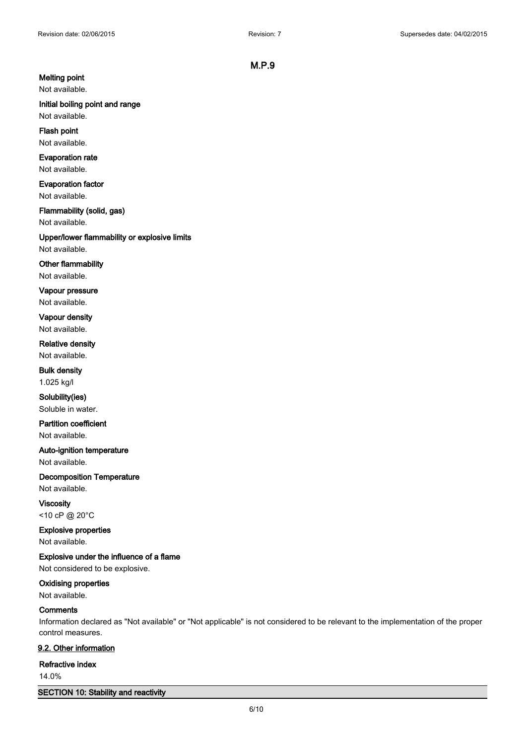# **Melting point**

Not available.

# **Initial boiling point and range**

Not available.

## **Flash point** Not available.

**Evaporation rate**

## Not available.

**Evaporation factor** Not available.

# **Flammability (solid, gas)**

Not available.

# **Upper/lower flammability or explosive limits**

Not available.

## **Other flammability**

Not available.

# **Vapour pressure**

Not available.

## **Vapour density** Not available.

**Relative density**

# Not available. **Bulk density**

1.025 kg/l

## **Solubility(ies)** Soluble in water.

**Partition coefficient** Not available.

# **Auto-ignition temperature** Not available.

**Decomposition Temperature**

Not available. **Viscosity**

<10 cP @ 20°C

# **Explosive properties**

Not available.

**Explosive under the influence of a flame** Not considered to be explosive.

# **Oxidising properties**

Not available.

## **Comments**

Information declared as "Not available" or "Not applicable" is not considered to be relevant to the implementation of the proper control measures.

## **9.2. Other information**

#### **Refractive index**

14.0%

## **SECTION 10: Stability and reactivity**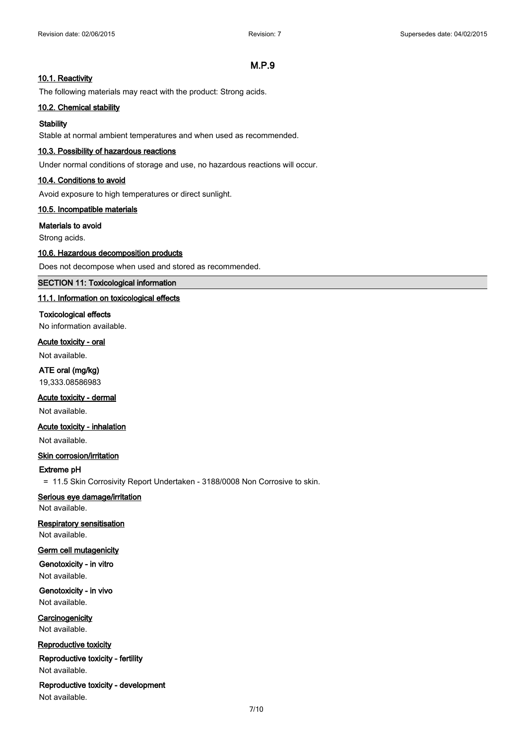## **10.1. Reactivity**

The following materials may react with the product: Strong acids.

#### **10.2. Chemical stability**

#### **Stability**

Stable at normal ambient temperatures and when used as recommended.

#### **10.3. Possibility of hazardous reactions**

Under normal conditions of storage and use, no hazardous reactions will occur.

### **10.4. Conditions to avoid**

Avoid exposure to high temperatures or direct sunlight.

#### **10.5. Incompatible materials**

#### **Materials to avoid**

Strong acids.

#### **10.6. Hazardous decomposition products**

Does not decompose when used and stored as recommended.

## **SECTION 11: Toxicological information**

#### **11.1. Information on toxicological effects**

#### **Toxicological effects**

No information available.

#### **Acute toxicity - oral**

Not available.

**ATE oral (mg/kg)** 19,333.08586983

## **Acute toxicity - dermal**

Not available.

## **Acute toxicity - inhalation**

Not available.

## **Skin corrosion/irritation**

## **Extreme pH**

= 11.5 Skin Corrosivity Report Undertaken - 3188/0008 Non Corrosive to skin.

## **Serious eye damage/irritation**

Not available.

# **Respiratory sensitisation**

Not available.

# **Germ cell mutagenicity**

**Genotoxicity - in vitro** Not available.

## **Genotoxicity - in vivo** Not available.

**Carcinogenicity** Not available.

# **Reproductive toxicity**

**Reproductive toxicity - fertility**

Not available.

## **Reproductive toxicity - development**

Not available.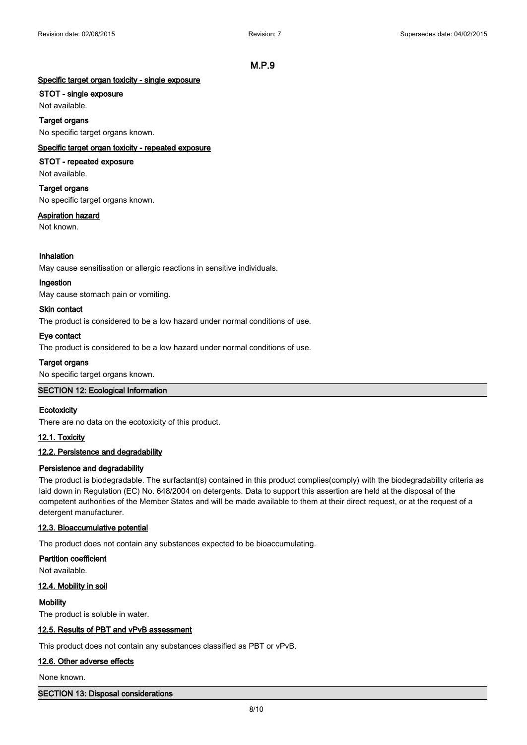# **Specific target organ toxicity - single exposure**

# **STOT - single exposure**

Not available. **Target organs** No specific target organs known.

# **Specific target organ toxicity - repeated exposure**

# **STOT - repeated exposure**

Not available.

# **Target organs**

No specific target organs known.

# **Aspiration hazard**

Not known.

# **Inhalation**

May cause sensitisation or allergic reactions in sensitive individuals.

## **Ingestion**

May cause stomach pain or vomiting.

## **Skin contact**

The product is considered to be a low hazard under normal conditions of use.

## **Eye contact**

The product is considered to be a low hazard under normal conditions of use.

## **Target organs**

No specific target organs known.

## **SECTION 12: Ecological Information**

## **Ecotoxicity**

There are no data on the ecotoxicity of this product.

## **12.1. Toxicity**

## **12.2. Persistence and degradability**

## **Persistence and degradability**

The product is biodegradable. The surfactant(s) contained in this product complies(comply) with the biodegradability criteria as laid down in Regulation (EC) No. 648/2004 on detergents. Data to support this assertion are held at the disposal of the competent authorities of the Member States and will be made available to them at their direct request, or at the request of a detergent manufacturer.

## **12.3. Bioaccumulative potential**

The product does not contain any substances expected to be bioaccumulating.

**Partition coefficient** Not available.

## **12.4. Mobility in soil**

## **Mobility**

The product is soluble in water.

## **12.5. Results of PBT and vPvB assessment**

This product does not contain any substances classified as PBT or vPvB.

## **12.6. Other adverse effects**

None known.

## **SECTION 13: Disposal considerations**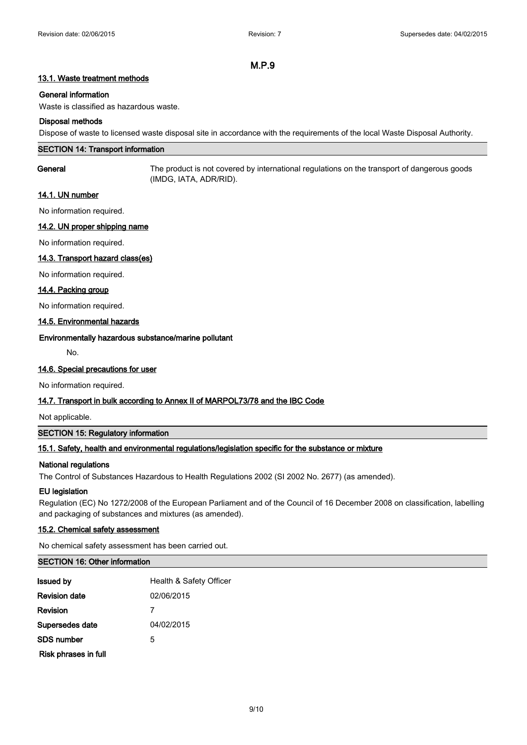## **13.1. Waste treatment methods**

## **General information**

Waste is classified as hazardous waste.

#### **Disposal methods**

Dispose of waste to licensed waste disposal site in accordance with the requirements of the local Waste Disposal Authority.

## **SECTION 14: Transport information**

**General** The product is not covered by international regulations on the transport of dangerous goods (IMDG, IATA, ADR/RID).

## **14.1. UN number**

No information required.

## **14.2. UN proper shipping name**

No information required.

## **14.3. Transport hazard class(es)**

No information required.

#### **14.4. Packing group**

No information required.

## **14.5. Environmental hazards**

#### **Environmentally hazardous substance/marine pollutant**

No.

#### **14.6. Special precautions for user**

No information required.

## **14.7. Transport in bulk according to Annex II of MARPOL73/78 and the IBC Code**

Not applicable.

## **SECTION 15: Regulatory information**

## **15.1. Safety, health and environmental regulations/legislation specific for the substance or mixture**

## **National regulations**

The Control of Substances Hazardous to Health Regulations 2002 (SI 2002 No. 2677) (as amended).

#### **EU legislation**

Regulation (EC) No 1272/2008 of the European Parliament and of the Council of 16 December 2008 on classification, labelling and packaging of substances and mixtures (as amended).

## **15.2. Chemical safety assessment**

No chemical safety assessment has been carried out.

## **SECTION 16: Other information**

| <b>Issued by</b>     | Health & Safety Officer |
|----------------------|-------------------------|
| <b>Revision date</b> | 02/06/2015              |
| Revision             |                         |
| Supersedes date      | 04/02/2015              |
| SDS number           | 5                       |
| Risk phrases in full |                         |